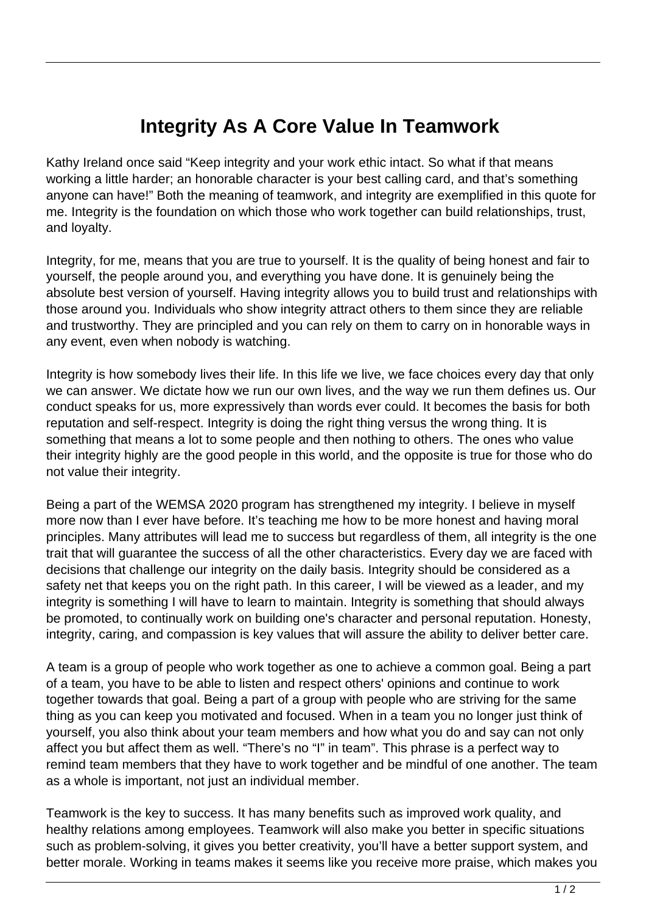## **Integrity As A Core Value In Teamwork**

Kathy Ireland once said "Keep integrity and your work ethic intact. So what if that means working a little harder; an honorable character is your best calling card, and that's something anyone can have!" Both the meaning of teamwork, and integrity are exemplified in this quote for me. Integrity is the foundation on which those who work together can build relationships, trust, and loyalty.

Integrity, for me, means that you are true to yourself. It is the quality of being honest and fair to yourself, the people around you, and everything you have done. It is genuinely being the absolute best version of yourself. Having integrity allows you to build trust and relationships with those around you. Individuals who show integrity attract others to them since they are reliable and trustworthy. They are principled and you can rely on them to carry on in honorable ways in any event, even when nobody is watching.

Integrity is how somebody lives their life. In this life we live, we face choices every day that only we can answer. We dictate how we run our own lives, and the way we run them defines us. Our conduct speaks for us, more expressively than words ever could. It becomes the basis for both reputation and self-respect. Integrity is doing the right thing versus the wrong thing. It is something that means a lot to some people and then nothing to others. The ones who value their integrity highly are the good people in this world, and the opposite is true for those who do not value their integrity.

Being a part of the WEMSA 2020 program has strengthened my integrity. I believe in myself more now than I ever have before. It's teaching me how to be more honest and having moral principles. Many attributes will lead me to success but regardless of them, all integrity is the one trait that will guarantee the success of all the other characteristics. Every day we are faced with decisions that challenge our integrity on the daily basis. Integrity should be considered as a safety net that keeps you on the right path. In this career, I will be viewed as a leader, and my integrity is something I will have to learn to maintain. Integrity is something that should always be promoted, to continually work on building one's character and personal reputation. Honesty, integrity, caring, and compassion is key values that will assure the ability to deliver better care.

A team is a group of people who work together as one to achieve a common goal. Being a part of a team, you have to be able to listen and respect others' opinions and continue to work together towards that goal. Being a part of a group with people who are striving for the same thing as you can keep you motivated and focused. When in a team you no longer just think of yourself, you also think about your team members and how what you do and say can not only affect you but affect them as well. "There's no "I" in team". This phrase is a perfect way to remind team members that they have to work together and be mindful of one another. The team as a whole is important, not just an individual member.

Teamwork is the key to success. It has many benefits such as improved work quality, and healthy relations among employees. Teamwork will also make you better in specific situations such as problem-solving, it gives you better creativity, you'll have a better support system, and better morale. Working in teams makes it seems like you receive more praise, which makes you